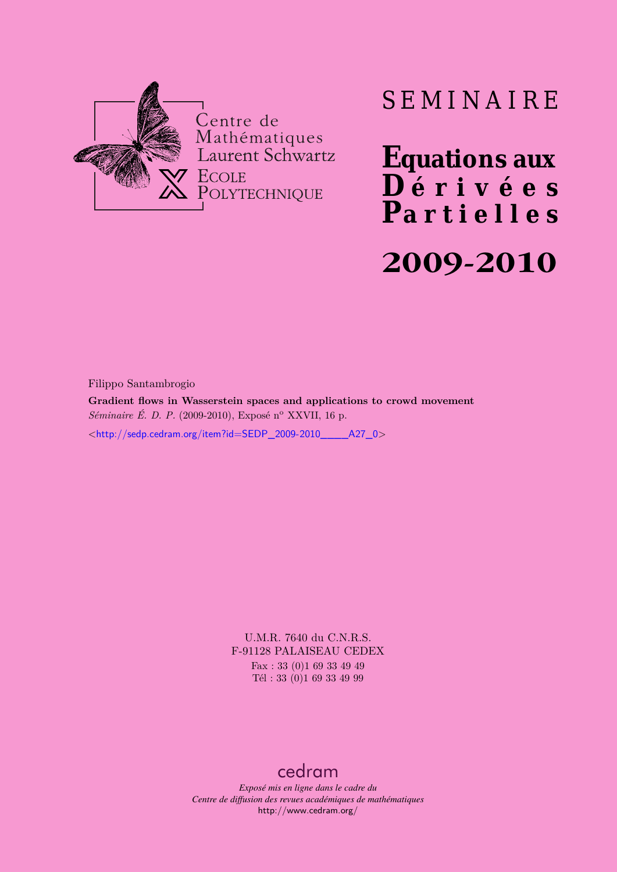

## SEMINAIRE

**Equations aux**  $\overline{\mathbf{D}}$  érivées **Partielles**

# **2009-2010**

Filippo Santambrogio

**Gradient flows in Wasserstein spaces and applications to crowd movement** *Séminaire É. D. P.* (2009-2010), Exposé n° XXVII, 16 p.

<[http://sedp.cedram.org/item?id=SEDP\\_2009-2010\\_\\_\\_\\_A27\\_0](http://sedp.cedram.org/item?id=SEDP_2009-2010____A27_0)>

U.M.R. 7640 du C.N.R.S. F-91128 PALAISEAU CEDEX Fax : 33 (0)1 69 33 49 49 Tél : 33 (0)1 69 33 49 99

#### [cedram](http://www.cedram.org/)

*Exposé mis en ligne dans le cadre du Centre de diffusion des revues académiques de mathématiques* <http://www.cedram.org/>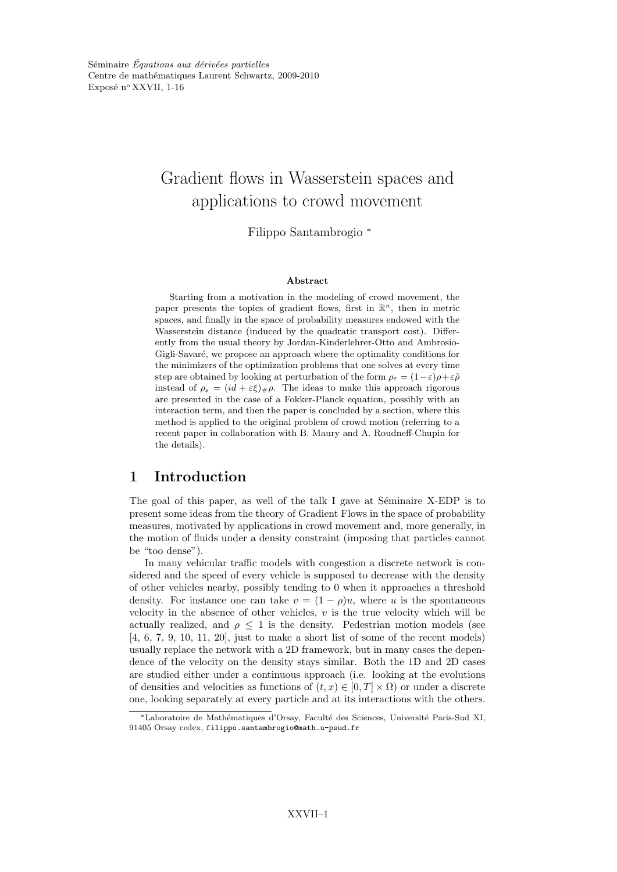### Gradient flows in Wasserstein spaces and applications to crowd movement

Filippo Santambrogio <sup>∗</sup>

#### Abstract

Starting from a motivation in the modeling of crowd movement, the paper presents the topics of gradient flows, first in  $\mathbb{R}^n$ , then in metric spaces, and finally in the space of probability measures endowed with the Wasserstein distance (induced by the quadratic transport cost). Differently from the usual theory by Jordan-Kinderlehrer-Otto and Ambrosio-Gigli-Savaré, we propose an approach where the optimality conditions for the minimizers of the optimization problems that one solves at every time step are obtained by looking at perturbation of the form  $\rho_{\varepsilon} = (1-\varepsilon)\rho + \varepsilon\tilde{\rho}$ instead of  $\rho_{\varepsilon} = (id + \varepsilon \xi)_{\#}\rho$ . The ideas to make this approach rigorous are presented in the case of a Fokker-Planck equation, possibly with an interaction term, and then the paper is concluded by a section, where this method is applied to the original problem of crowd motion (referring to a recent paper in collaboration with B. Maury and A. Roudneff-Chupin for the details).

#### 1 Introduction

The goal of this paper, as well of the talk I gave at Séminaire X-EDP is to present some ideas from the theory of Gradient Flows in the space of probability measures, motivated by applications in crowd movement and, more generally, in the motion of fluids under a density constraint (imposing that particles cannot be "too dense").

In many vehicular traffic models with congestion a discrete network is considered and the speed of every vehicle is supposed to decrease with the density of other vehicles nearby, possibly tending to 0 when it approaches a threshold density. For instance one can take  $v = (1 - \rho)u$ , where u is the spontaneous velocity in the absence of other vehicles,  $v$  is the true velocity which will be actually realized, and  $\rho \leq 1$  is the density. Pedestrian motion models (see [4, 6, 7, 9, 10, 11, 20], just to make a short list of some of the recent models) usually replace the network with a 2D framework, but in many cases the dependence of the velocity on the density stays similar. Both the 1D and 2D cases are studied either under a continuous approach (i.e. looking at the evolutions of densities and velocities as functions of  $(t, x) \in [0, T] \times \Omega$  or under a discrete one, looking separately at every particle and at its interactions with the others.

<sup>∗</sup>Laboratoire de Math´ematiques d'Orsay, Facult´e des Sciences, Universit´e Paris-Sud XI, 91405 Orsay cedex, filippo.santambrogio@math.u-psud.fr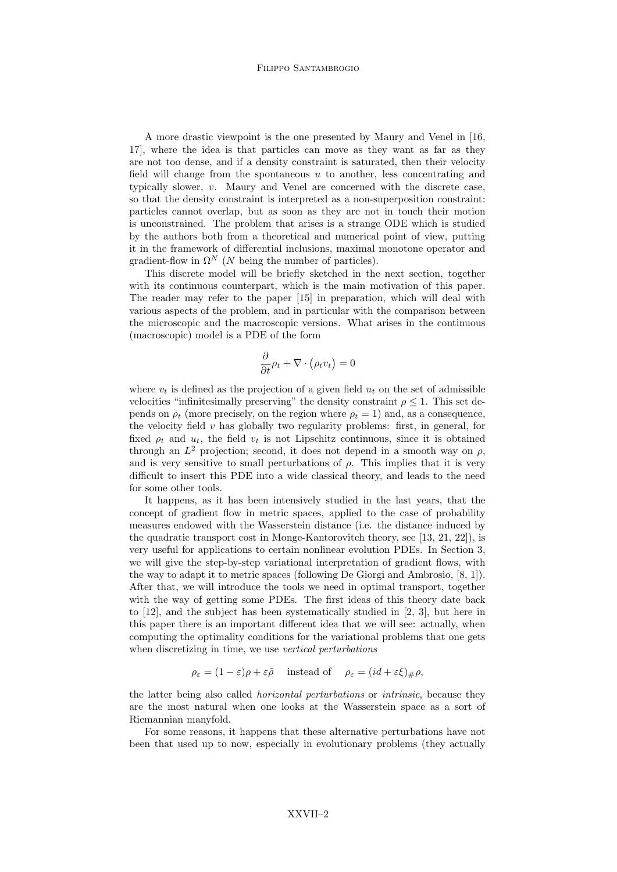A more drastic viewpoint is the one presented by Maury and Venel in [16, 17], where the idea is that particles can move as they want as far as they are not too dense, and if a density constraint is saturated, then their velocity field will change from the spontaneous  $u$  to another, less concentrating and typically slower, v. Maury and Venel are concerned with the discrete case, so that the density constraint is interpreted as a non-superposition constraint: particles cannot overlap, but as soon as they are not in touch their motion is unconstrained. The problem that arises is a strange ODE which is studied by the authors both from a theoretical and numerical point of view, putting it in the framework of differential inclusions, maximal monotone operator and gradient-flow in  $\Omega^N$  (N being the number of particles).

This discrete model will be briefly sketched in the next section, together with its continuous counterpart, which is the main motivation of this paper. The reader may refer to the paper [15] in preparation, which will deal with various aspects of the problem, and in particular with the comparison between the microscopic and the macroscopic versions. What arises in the continuous (macroscopic) model is a PDE of the form

$$
\frac{\partial}{\partial t}\rho_t + \nabla \cdot (\rho_t v_t) = 0
$$

where  $v_t$  is defined as the projection of a given field  $u_t$  on the set of admissible velocities "infinitesimally preserving" the density constraint  $\rho \leq 1$ . This set depends on  $\rho_t$  (more precisely, on the region where  $\rho_t = 1$ ) and, as a consequence, the velocity field  $v$  has globally two regularity problems: first, in general, for fixed  $\rho_t$  and  $u_t$ , the field  $v_t$  is not Lipschitz continuous, since it is obtained through an  $L^2$  projection; second, it does not depend in a smooth way on  $\rho$ , and is very sensitive to small perturbations of  $\rho$ . This implies that it is very difficult to insert this PDE into a wide classical theory, and leads to the need for some other tools.

It happens, as it has been intensively studied in the last years, that the concept of gradient flow in metric spaces, applied to the case of probability measures endowed with the Wasserstein distance (i.e. the distance induced by the quadratic transport cost in Monge-Kantorovitch theory, see [13, 21, 22]), is very useful for applications to certain nonlinear evolution PDEs. In Section 3, we will give the step-by-step variational interpretation of gradient flows, with the way to adapt it to metric spaces (following De Giorgi and Ambrosio, [8, 1]). After that, we will introduce the tools we need in optimal transport, together with the way of getting some PDEs. The first ideas of this theory date back to [12], and the subject has been systematically studied in [2, 3], but here in this paper there is an important different idea that we will see: actually, when computing the optimality conditions for the variational problems that one gets when discretizing in time, we use vertical perturbations

$$
\rho_{\varepsilon} = (1 - \varepsilon)\rho + \varepsilon \tilde{\rho} \quad \text{ instead of } \quad \rho_{\varepsilon} = (id + \varepsilon \xi)_{\#}\rho,
$$

the latter being also called horizontal perturbations or intrinsic, because they are the most natural when one looks at the Wasserstein space as a sort of Riemannian manyfold.

For some reasons, it happens that these alternative perturbations have not been that used up to now, especially in evolutionary problems (they actually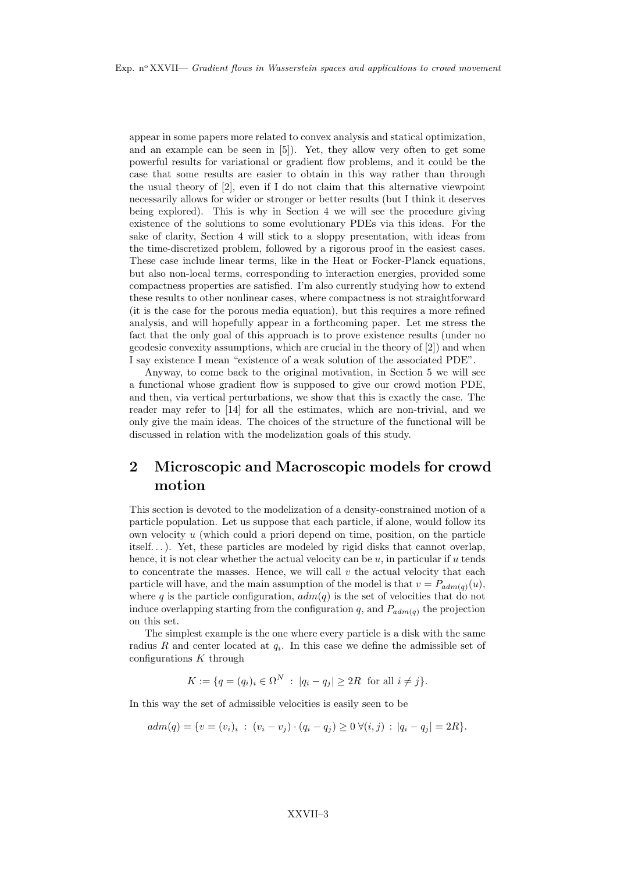appear in some papers more related to convex analysis and statical optimization, and an example can be seen in [5]). Yet, they allow very often to get some powerful results for variational or gradient flow problems, and it could be the case that some results are easier to obtain in this way rather than through the usual theory of [2], even if I do not claim that this alternative viewpoint necessarily allows for wider or stronger or better results (but I think it deserves being explored). This is why in Section 4 we will see the procedure giving existence of the solutions to some evolutionary PDEs via this ideas. For the sake of clarity, Section 4 will stick to a sloppy presentation, with ideas from the time-discretized problem, followed by a rigorous proof in the easiest cases. These case include linear terms, like in the Heat or Focker-Planck equations, but also non-local terms, corresponding to interaction energies, provided some compactness properties are satisfied. I'm also currently studying how to extend these results to other nonlinear cases, where compactness is not straightforward (it is the case for the porous media equation), but this requires a more refined analysis, and will hopefully appear in a forthcoming paper. Let me stress the fact that the only goal of this approach is to prove existence results (under no geodesic convexity assumptions, which are crucial in the theory of [2]) and when I say existence I mean "existence of a weak solution of the associated PDE".

Anyway, to come back to the original motivation, in Section 5 we will see a functional whose gradient flow is supposed to give our crowd motion PDE, and then, via vertical perturbations, we show that this is exactly the case. The reader may refer to [14] for all the estimates, which are non-trivial, and we only give the main ideas. The choices of the structure of the functional will be discussed in relation with the modelization goals of this study.

#### 2 Microscopic and Macroscopic models for crowd motion

This section is devoted to the modelization of a density-constrained motion of a particle population. Let us suppose that each particle, if alone, would follow its own velocity  $u$  (which could a priori depend on time, position, on the particle itself. . . ). Yet, these particles are modeled by rigid disks that cannot overlap, hence, it is not clear whether the actual velocity can be  $u$ , in particular if  $u$  tends to concentrate the masses. Hence, we will call  $v$  the actual velocity that each particle will have, and the main assumption of the model is that  $v = P_{adm(q)}(u)$ , where q is the particle configuration,  $adm(q)$  is the set of velocities that do not induce overlapping starting from the configuration q, and  $P_{adm(q)}$  the projection on this set.

The simplest example is the one where every particle is a disk with the same radius R and center located at  $q_i$ . In this case we define the admissible set of configurations  $K$  through

$$
K := \{ q = (q_i)_i \in \Omega^N \; : \; |q_i - q_j| \ge 2R \; \text{ for all } i \ne j \}.
$$

In this way the set of admissible velocities is easily seen to be

$$
adm(q) = \{v = (v_i)_i : (v_i - v_j) \cdot (q_i - q_j) \ge 0 \ \forall (i, j) : |q_i - q_j| = 2R\}.
$$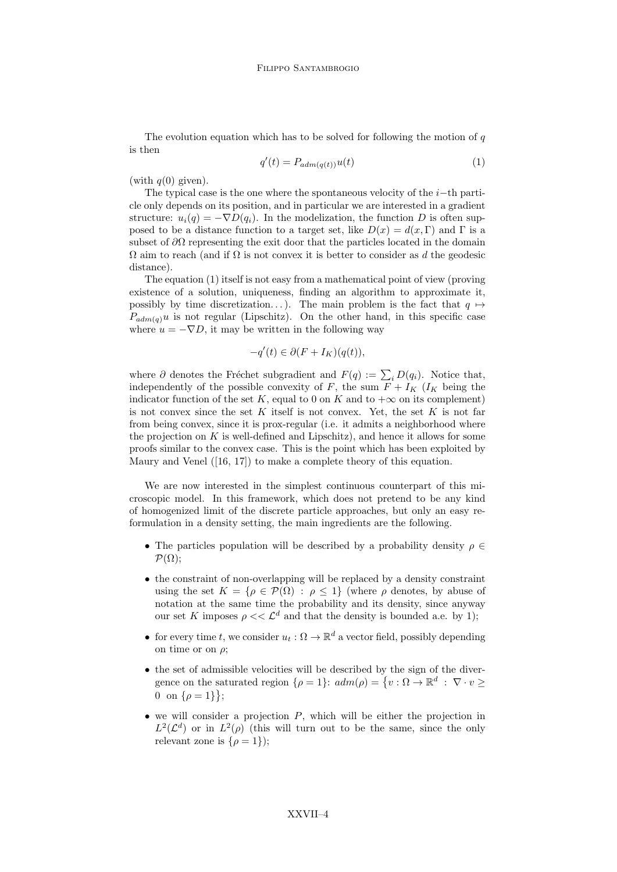The evolution equation which has to be solved for following the motion of  $q$ is then

$$
q'(t) = P_{adm(q(t))}u(t)
$$
\n(1)

(with  $q(0)$  given).

The typical case is the one where the spontaneous velocity of the  $i$ -th particle only depends on its position, and in particular we are interested in a gradient structure:  $u_i(q) = -\nabla D(q_i)$ . In the modelization, the function D is often supposed to be a distance function to a target set, like  $D(x) = d(x, \Gamma)$  and  $\Gamma$  is a subset of  $\partial\Omega$  representing the exit door that the particles located in the domain  $\Omega$  aim to reach (and if  $\Omega$  is not convex it is better to consider as d the geodesic distance).

The equation (1) itself is not easy from a mathematical point of view (proving existence of a solution, uniqueness, finding an algorithm to approximate it, possibly by time discretization...). The main problem is the fact that  $q \mapsto$  $P_{adm(q)}u$  is not regular (Lipschitz). On the other hand, in this specific case where  $u = -\nabla D$ , it may be written in the following way

$$
-q'(t) \in \partial (F + I_K)(q(t)),
$$

where  $\partial$  denotes the Fréchet subgradient and  $F(q) := \sum_i D(q_i)$ . Notice that, independently of the possible convexity of F, the sum  $F + I_K$  ( $I_K$  being the indicator function of the set K, equal to 0 on K and to  $+\infty$  on its complement) is not convex since the set K itself is not convex. Yet, the set K is not far from being convex, since it is prox-regular (i.e. it admits a neighborhood where the projection on  $K$  is well-defined and Lipschitz), and hence it allows for some proofs similar to the convex case. This is the point which has been exploited by Maury and Venel ([16, 17]) to make a complete theory of this equation.

We are now interested in the simplest continuous counterpart of this microscopic model. In this framework, which does not pretend to be any kind of homogenized limit of the discrete particle approaches, but only an easy reformulation in a density setting, the main ingredients are the following.

- The particles population will be described by a probability density  $\rho \in$  $\mathcal{P}(\Omega)$ ;
- the constraint of non-overlapping will be replaced by a density constraint using the set  $K = {\rho \in \mathcal{P}(\Omega) : \rho \leq 1}$  (where  $\rho$  denotes, by abuse of notation at the same time the probability and its density, since anyway our set K imposes  $\rho \ll \mathcal{L}^d$  and that the density is bounded a.e. by 1);
- for every time t, we consider  $u_t : \Omega \to \mathbb{R}^d$  a vector field, possibly depending on time or on  $\rho$ ;
- the set of admissible velocities will be described by the sign of the divergence on the saturated region  $\{\rho = 1\}$ :  $adm(\rho) = \{v : \Omega \to \mathbb{R}^d : \nabla \cdot v \geq 0\}$ 0 on  $\{\rho = 1\}$ ;
- we will consider a projection  $P$ , which will be either the projection in  $L^2(\mathcal{L}^d)$  or in  $L^2(\rho)$  (this will turn out to be the same, since the only relevant zone is  $\{\rho = 1\}$ ;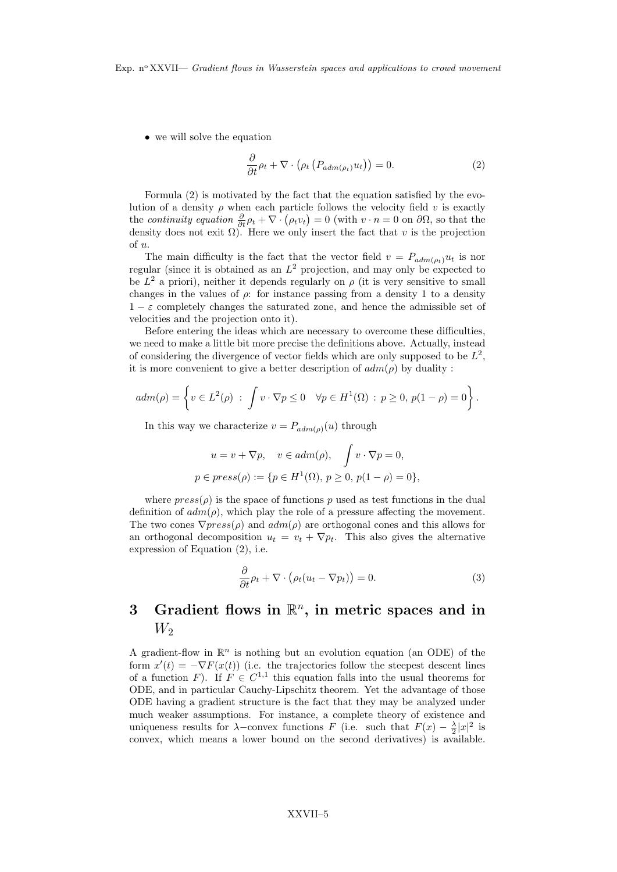• we will solve the equation

$$
\frac{\partial}{\partial t}\rho_t + \nabla \cdot \left(\rho_t \left(P_{adm(\rho_t)} u_t\right)\right) = 0. \tag{2}
$$

Formula (2) is motivated by the fact that the equation satisfied by the evolution of a density  $\rho$  when each particle follows the velocity field v is exactly the continuity equation  $\frac{\partial}{\partial t}\rho_t + \nabla \cdot (\rho_t v_t) = 0$  (with  $v \cdot n = 0$  on  $\partial\Omega$ , so that the density does not exit  $\Omega$ ). Here we only insert the fact that v is the projection of u.

The main difficulty is the fact that the vector field  $v = P_{adm(\rho_t)}u_t$  is nor regular (since it is obtained as an  $L^2$  projection, and may only be expected to be  $L^2$  a priori), neither it depends regularly on  $\rho$  (it is very sensitive to small changes in the values of  $\rho$ : for instance passing from a density 1 to a density  $1 - \varepsilon$  completely changes the saturated zone, and hence the admissible set of velocities and the projection onto it).

Before entering the ideas which are necessary to overcome these difficulties, we need to make a little bit more precise the definitions above. Actually, instead of considering the divergence of vector fields which are only supposed to be  $L^2$ , it is more convenient to give a better description of  $adm(\rho)$  by duality:

$$
adm(\rho) = \left\{ v \in L^2(\rho) \; : \; \int v \cdot \nabla p \le 0 \quad \forall p \in H^1(\Omega) \; : \; p \ge 0, \, p(1 - \rho) = 0 \right\}.
$$

In this way we characterize  $v = P_{adm(\rho)}(u)$  through

$$
u = v + \nabla p, \quad v \in adm(\rho), \quad \int v \cdot \nabla p = 0,
$$
  

$$
p \in press(\rho) := \{ p \in H^1(\Omega), \ p \ge 0, \ p(1 - \rho) = 0 \},
$$

where  $press(\rho)$  is the space of functions p used as test functions in the dual definition of  $adm(\rho)$ , which play the role of a pressure affecting the movement. The two cones  $\nabla press(\rho)$  and  $adm(\rho)$  are orthogonal cones and this allows for an orthogonal decomposition  $u_t = v_t + \nabla p_t$ . This also gives the alternative expression of Equation (2), i.e.

$$
\frac{\partial}{\partial t}\rho_t + \nabla \cdot \left(\rho_t (u_t - \nabla p_t)\right) = 0.
$$
\n(3)

### 3 Gradient flows in  $\mathbb{R}^n$ , in metric spaces and in  $W_2$

A gradient-flow in  $\mathbb{R}^n$  is nothing but an evolution equation (an ODE) of the form  $x'(t) = -\nabla F(x(t))$  (i.e. the trajectories follow the steepest descent lines of a function F). If  $F \in C^{1,1}$  this equation falls into the usual theorems for ODE, and in particular Cauchy-Lipschitz theorem. Yet the advantage of those ODE having a gradient structure is the fact that they may be analyzed under much weaker assumptions. For instance, a complete theory of existence and uniqueness results for  $\lambda$ –convex functions F (i.e. such that  $F(x) - \frac{\lambda}{2}|x|^2$  is convex, which means a lower bound on the second derivatives) is available.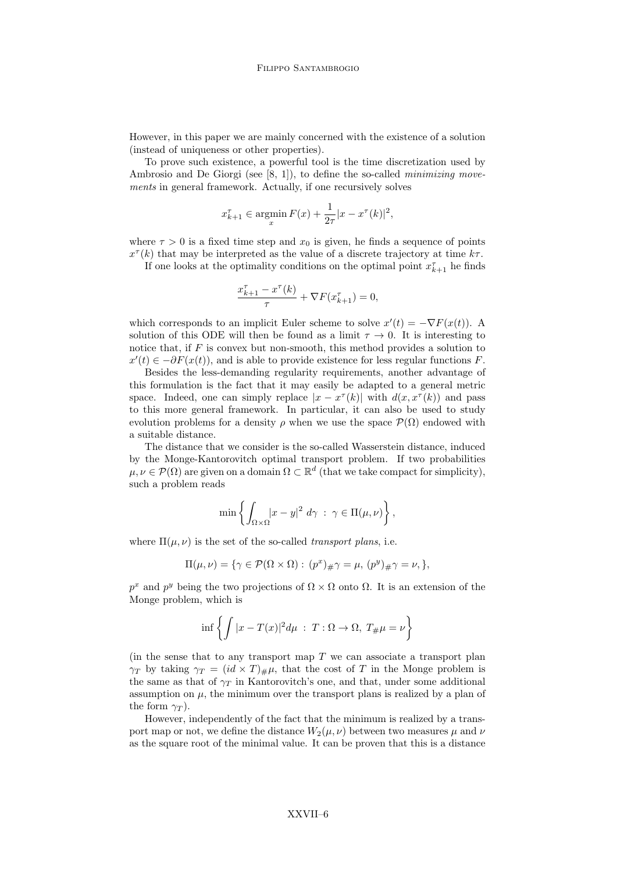However, in this paper we are mainly concerned with the existence of a solution (instead of uniqueness or other properties).

To prove such existence, a powerful tool is the time discretization used by Ambrosio and De Giorgi (see [8, 1]), to define the so-called *minimizing move*ments in general framework. Actually, if one recursively solves

$$
x_{k+1}^{\tau} \in \operatorname*{argmin}_{x} F(x) + \frac{1}{2\tau} |x - x^{\tau}(k)|^{2},
$$

where  $\tau > 0$  is a fixed time step and  $x_0$  is given, he finds a sequence of points  $x^{\tau}(k)$  that may be interpreted as the value of a discrete trajectory at time  $k\tau$ .

If one looks at the optimality conditions on the optimal point  $x_{k+1}^{\tau}$  he finds

$$
\frac{x_{k+1}^{\tau} - x^{\tau}(k)}{\tau} + \nabla F(x_{k+1}^{\tau}) = 0,
$$

which corresponds to an implicit Euler scheme to solve  $x'(t) = -\nabla F(x(t))$ . A solution of this ODE will then be found as a limit  $\tau \to 0$ . It is interesting to notice that, if  $F$  is convex but non-smooth, this method provides a solution to  $x'(t) \in -\partial F(x(t))$ , and is able to provide existence for less regular functions F.

Besides the less-demanding regularity requirements, another advantage of this formulation is the fact that it may easily be adapted to a general metric space. Indeed, one can simply replace  $|x - x^{\tau}(k)|$  with  $d(x, x^{\tau}(k))$  and pass to this more general framework. In particular, it can also be used to study evolution problems for a density  $\rho$  when we use the space  $\mathcal{P}(\Omega)$  endowed with a suitable distance.

The distance that we consider is the so-called Wasserstein distance, induced by the Monge-Kantorovitch optimal transport problem. If two probabilities  $\mu, \nu \in \mathcal{P}(\Omega)$  are given on a domain  $\Omega \subset \mathbb{R}^d$  (that we take compact for simplicity), such a problem reads

$$
\min\left\{\int_{\Omega\times\Omega}\lvert x-y\rvert^2\ d\gamma\ :\ \gamma\in\Pi(\mu,\nu)\right\},\
$$

where  $\Pi(\mu, \nu)$  is the set of the so-called *transport plans*, i.e.

$$
\Pi(\mu,\nu)=\{\gamma\in\mathcal{P}(\Omega\times\Omega):\,(p^x)_{\#}\gamma=\mu,\,(p^y)_{\#}\gamma=\nu,\},
$$

 $p^x$  and  $p^y$  being the two projections of  $\Omega \times \Omega$  onto  $\Omega$ . It is an extension of the Monge problem, which is

$$
\inf \left\{ \int |x - T(x)|^2 d\mu \; : \; T : \Omega \to \Omega, \; T_{\#} \mu = \nu \right\}
$$

(in the sense that to any transport map  $T$  we can associate a transport plan  $\gamma_T$  by taking  $\gamma_T = (id \times T)_\# \mu$ , that the cost of T in the Monge problem is the same as that of  $\gamma_T$  in Kantorovitch's one, and that, under some additional assumption on  $\mu$ , the minimum over the transport plans is realized by a plan of the form  $\gamma_T$ ).

However, independently of the fact that the minimum is realized by a transport map or not, we define the distance  $W_2(\mu, \nu)$  between two measures  $\mu$  and  $\nu$ as the square root of the minimal value. It can be proven that this is a distance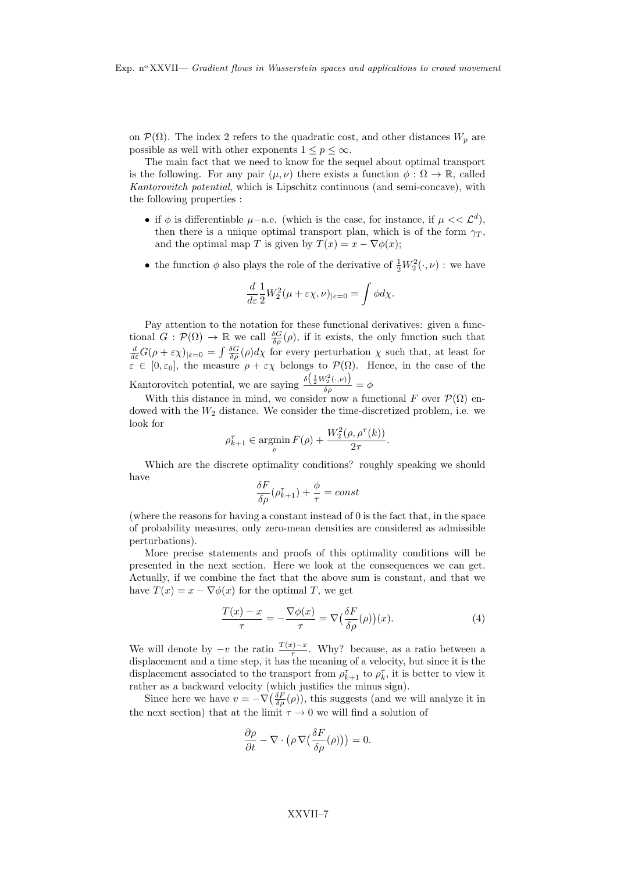on  $\mathcal{P}(\Omega)$ . The index 2 refers to the quadratic cost, and other distances  $W_p$  are possible as well with other exponents  $1 \leq p \leq \infty$ .

The main fact that we need to know for the sequel about optimal transport is the following. For any pair  $(\mu, \nu)$  there exists a function  $\phi : \Omega \to \mathbb{R}$ , called Kantorovitch potential, which is Lipschitz continuous (and semi-concave), with the following properties :

- if  $\phi$  is differentiable  $\mu$ -a.e. (which is the case, for instance, if  $\mu \ll \mathcal{L}^d$ ), then there is a unique optimal transport plan, which is of the form  $\gamma_T$ , and the optimal map T is given by  $T(x) = x - \nabla \phi(x)$ ;
- the function  $\phi$  also plays the role of the derivative of  $\frac{1}{2}W_2^2(\cdot,\nu)$ : we have

$$
\frac{d}{d\varepsilon} \frac{1}{2} W_2^2 (\mu + \varepsilon \chi, \nu)_{|\varepsilon = 0} = \int \phi d\chi.
$$

Pay attention to the notation for these functional derivatives: given a functional  $G: \mathcal{P}(\Omega) \to \mathbb{R}$  we call  $\frac{\delta G}{\delta \rho}(\rho)$ , if it exists, the only function such that  $\frac{d}{d\varepsilon}G(\rho+\varepsilon\chi)_{|\varepsilon=0}=\int\frac{\delta G}{\delta\rho}(\rho)d\chi$  for every perturbation  $\chi$  such that, at least for  $\varepsilon \in [0, \varepsilon_0]$ , the measure  $\rho + \varepsilon \chi$  belongs to  $\mathcal{P}(\Omega)$ . Hence, in the case of the Kantorovitch potential, we are saying  $\frac{\delta(\frac{1}{2}W_2^2(\cdot,\nu))}{\delta q}$  $\frac{\delta_{\rho}^{(2\vee,\nu)}\delta_{\rho}}{\delta_{\rho}}=\phi$ 

With this distance in mind, we consider now a functional F over  $\mathcal{P}(\Omega)$  endowed with the  $W_2$  distance. We consider the time-discretized problem, i.e. we look for

$$
\rho_{k+1}^{\tau} \in \operatorname*{argmin}_{\rho} F(\rho) + \frac{W_2^2(\rho, \rho^{\tau}(k))}{2\tau}.
$$

Which are the discrete optimality conditions? roughly speaking we should have

$$
\frac{\delta F}{\delta \rho}(\rho_{k+1}^{\tau}) + \frac{\phi}{\tau} = const
$$

(where the reasons for having a constant instead of 0 is the fact that, in the space of probability measures, only zero-mean densities are considered as admissible perturbations).

More precise statements and proofs of this optimality conditions will be presented in the next section. Here we look at the consequences we can get. Actually, if we combine the fact that the above sum is constant, and that we have  $T(x) = x - \nabla \phi(x)$  for the optimal T, we get

$$
\frac{T(x) - x}{\tau} = -\frac{\nabla \phi(x)}{\tau} = \nabla \left(\frac{\delta F}{\delta \rho}(\rho)\right)(x). \tag{4}
$$

We will denote by  $-v$  the ratio  $\frac{T(x)-x}{\tau}$ . Why? because, as a ratio between a displacement and a time step, it has the meaning of a velocity, but since it is the displacement associated to the transport from  $\rho_{k+1}^{\tau}$  to  $\rho_k^{\tau}$ , it is better to view it rather as a backward velocity (which justifies the minus sign).

Since here we have  $v = -\nabla \left( \frac{\delta F}{\delta \rho}(\rho) \right)$ , this suggests (and we will analyze it in the next section) that at the limit  $\tau \to 0$  we will find a solution of

$$
\frac{\partial \rho}{\partial t} - \nabla \cdot \left( \rho \, \nabla \left( \frac{\delta F}{\delta \rho}(\rho) \right) \right) = 0.
$$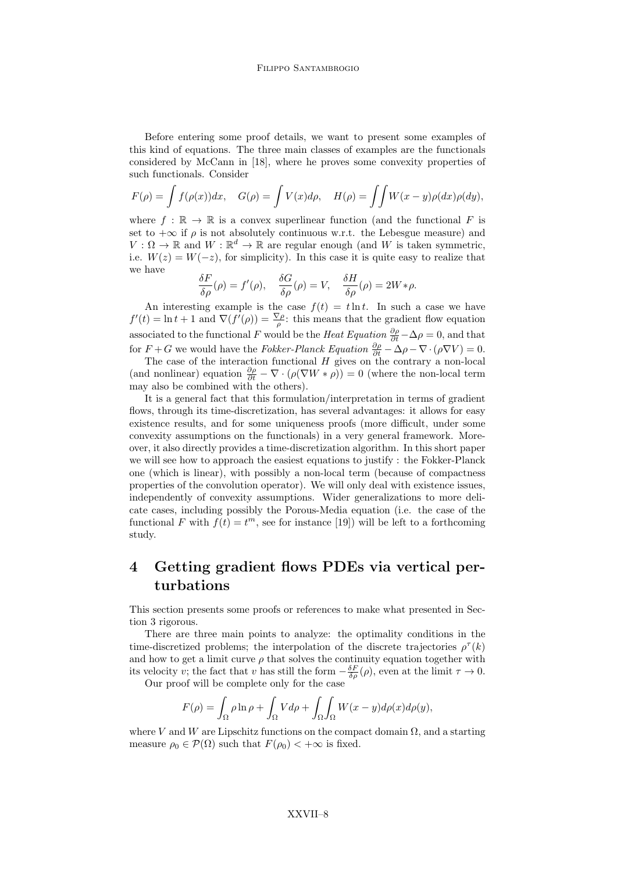Before entering some proof details, we want to present some examples of this kind of equations. The three main classes of examples are the functionals considered by McCann in [18], where he proves some convexity properties of such functionals. Consider

$$
F(\rho) = \int f(\rho(x))dx, \quad G(\rho) = \int V(x)d\rho, \quad H(\rho) = \int \int W(x - y)\rho(dx)\rho(dy),
$$

where  $f : \mathbb{R} \to \mathbb{R}$  is a convex superlinear function (and the functional F is set to  $+\infty$  if  $\rho$  is not absolutely continuous w.r.t. the Lebesgue measure) and  $V: \Omega \to \mathbb{R}$  and  $W: \mathbb{R}^d \to \mathbb{R}$  are regular enough (and W is taken symmetric, i.e.  $W(z) = W(-z)$ , for simplicity). In this case it is quite easy to realize that we have

$$
\frac{\delta F}{\delta \rho}(\rho) = f'(\rho), \quad \frac{\delta G}{\delta \rho}(\rho) = V, \quad \frac{\delta H}{\delta \rho}(\rho) = 2W * \rho.
$$

An interesting example is the case  $f(t) = t \ln t$ . In such a case we have  $f'(t) = \ln t + 1$  and  $\nabla(f'(\rho)) = \frac{\nabla \rho}{\rho}$ : this means that the gradient flow equation associated to the functional F would be the Heat Equation  $\frac{\partial \rho}{\partial t} - \Delta \rho = 0$ , and that for  $F + G$  we would have the *Fokker-Planck Equation*  $\frac{\partial \rho}{\partial t} - \Delta \rho - \nabla \cdot (\rho \nabla V) = 0$ .

The case of the interaction functional  $H$  gives on the contrary a non-local (and nonlinear) equation  $\frac{\partial \rho}{\partial t} - \nabla \cdot (\rho(\nabla W * \rho)) = 0$  (where the non-local term may also be combined with the others).

It is a general fact that this formulation/interpretation in terms of gradient flows, through its time-discretization, has several advantages: it allows for easy existence results, and for some uniqueness proofs (more difficult, under some convexity assumptions on the functionals) in a very general framework. Moreover, it also directly provides a time-discretization algorithm. In this short paper we will see how to approach the easiest equations to justify : the Fokker-Planck one (which is linear), with possibly a non-local term (because of compactness properties of the convolution operator). We will only deal with existence issues, independently of convexity assumptions. Wider generalizations to more delicate cases, including possibly the Porous-Media equation (i.e. the case of the functional F with  $f(t) = t^m$ , see for instance [19]) will be left to a forthcoming study.

#### 4 Getting gradient flows PDEs via vertical perturbations

This section presents some proofs or references to make what presented in Section 3 rigorous.

There are three main points to analyze: the optimality conditions in the time-discretized problems; the interpolation of the discrete trajectories  $\rho^{\tau}(k)$ and how to get a limit curve  $\rho$  that solves the continuity equation together with its velocity v; the fact that v has still the form  $-\frac{\delta F}{\delta \rho}(\rho)$ , even at the limit  $\tau \to 0$ .

Our proof will be complete only for the case

$$
F(\rho) = \int_{\Omega} \rho \ln \rho + \int_{\Omega} V d\rho + \int_{\Omega} \int_{\Omega} W(x - y) d\rho(x) d\rho(y),
$$

where V and W are Lipschitz functions on the compact domain  $\Omega$ , and a starting measure  $\rho_0 \in \mathcal{P}(\Omega)$  such that  $F(\rho_0) < +\infty$  is fixed.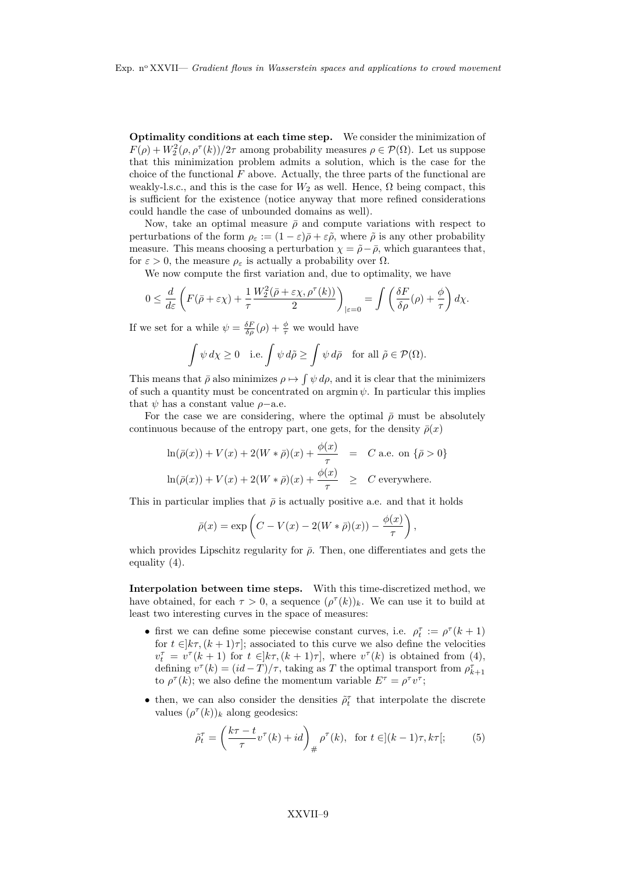Optimality conditions at each time step. We consider the minimization of  $F(\rho) + W_2^2(\rho, \rho^{\tau}(k))/2\tau$  among probability measures  $\rho \in \mathcal{P}(\Omega)$ . Let us suppose that this minimization problem admits a solution, which is the case for the choice of the functional  $F$  above. Actually, the three parts of the functional are weakly-l.s.c., and this is the case for  $W_2$  as well. Hence,  $\Omega$  being compact, this is sufficient for the existence (notice anyway that more refined considerations could handle the case of unbounded domains as well).

Now, take an optimal measure  $\bar{\rho}$  and compute variations with respect to perturbations of the form  $\rho_{\varepsilon} := (1 - \varepsilon)\bar{\rho} + \varepsilon\tilde{\rho}$ , where  $\tilde{\rho}$  is any other probability measure. This means choosing a perturbation  $\chi = \tilde{\rho} - \bar{\rho}$ , which guarantees that, for  $\varepsilon > 0$ , the measure  $\rho_{\varepsilon}$  is actually a probability over  $\Omega$ .

We now compute the first variation and, due to optimality, we have

$$
0 \le \frac{d}{d\varepsilon} \left( F(\bar{\rho} + \varepsilon \chi) + \frac{1}{\tau} \frac{W_2^2(\bar{\rho} + \varepsilon \chi, \rho^\tau(k))}{2} \right)_{|\varepsilon=0} = \int \left( \frac{\delta F}{\delta \rho}(\rho) + \frac{\phi}{\tau} \right) d\chi.
$$

If we set for a while  $\psi = \frac{\delta F}{\delta \rho}(\rho) + \frac{\phi}{\tau}$  we would have

$$
\int \psi \, d\chi \ge 0 \quad \text{i.e.} \int \psi \, d\tilde{\rho} \ge \int \psi \, d\bar{\rho} \quad \text{for all } \tilde{\rho} \in \mathcal{P}(\Omega).
$$

This means that  $\bar{\rho}$  also minimizes  $\rho \mapsto \int \psi \, d\rho$ , and it is clear that the minimizers of such a quantity must be concentrated on argmin  $\psi$ . In particular this implies that  $\psi$  has a constant value  $\rho$ -a.e.

For the case we are considering, where the optimal  $\bar{\rho}$  must be absolutely continuous because of the entropy part, one gets, for the density  $\bar{\rho}(x)$ 

$$
\ln(\bar{\rho}(x)) + V(x) + 2(W * \bar{\rho})(x) + \frac{\phi(x)}{\tau} = C \text{ a.e. on } \{\bar{\rho} > 0\}
$$
  

$$
\ln(\bar{\rho}(x)) + V(x) + 2(W * \bar{\rho})(x) + \frac{\phi(x)}{\tau} \ge C \text{ everywhere.}
$$

This in particular implies that  $\bar{\rho}$  is actually positive a.e. and that it holds

$$
\bar{\rho}(x) = \exp\left(C - V(x) - 2(W * \bar{\rho})(x)) - \frac{\phi(x)}{\tau}\right),
$$

which provides Lipschitz regularity for  $\bar{\rho}$ . Then, one differentiates and gets the equality (4).

Interpolation between time steps. With this time-discretized method, we have obtained, for each  $\tau > 0$ , a sequence  $(\rho^{\tau}(k))_k$ . We can use it to build at least two interesting curves in the space of measures:

- first we can define some piecewise constant curves, i.e.  $\rho_t^{\tau} := \rho^{\tau} (k+1)$ for  $t \in [k\tau, (k+1)\tau]$ ; associated to this curve we also define the velocities  $v_t^{\tau} = v^{\tau}(k+1)$  for  $t \in ]k\tau, (k+1)\tau]$ , where  $v^{\tau}(k)$  is obtained from (4), defining  $v^{\tau}(k) = (id - T)/\tau$ , taking as T the optimal transport from  $\rho_{k+1}^{\tau}$ to  $\rho^{\tau}(k)$ ; we also define the momentum variable  $E^{\tau} = \rho^{\tau} v^{\tau}$ ;
- then, we can also consider the densities  $\tilde{\rho}_t^{\tau}$  that interpolate the discrete values  $(\rho^{\tau}(k))_k$  along geodesics:

$$
\tilde{\rho}_t^{\tau} = \left(\frac{k\tau - t}{\tau} v^{\tau}(k) + id\right)_{\#} \rho^{\tau}(k), \text{ for } t \in ](k-1)\tau, k\tau[;
$$
 (5)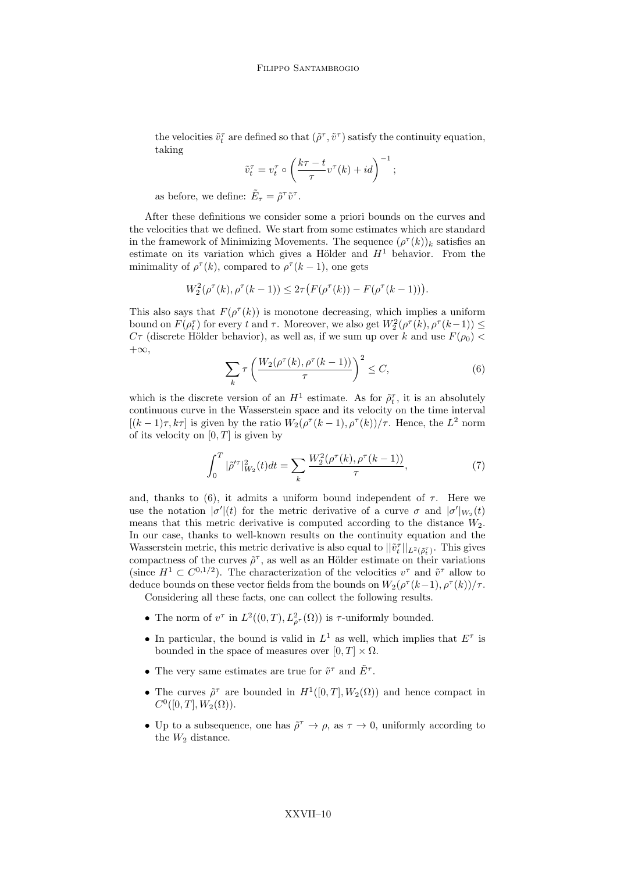the velocities  $\tilde{v}_t^{\tau}$  are defined so that  $(\tilde{\rho}^{\tau},\tilde{v}^{\tau})$  satisfy the continuity equation, taking

$$
\tilde{v}_t^{\tau} = v_t^{\tau} \circ \left(\frac{k\tau - t}{\tau}v^{\tau}(k) + id\right)^{-1};
$$

as before, we define:  $\tilde{E}_{\tau} = \tilde{\rho}^{\tau} \tilde{v}^{\tau}$ .

After these definitions we consider some a priori bounds on the curves and the velocities that we defined. We start from some estimates which are standard in the framework of Minimizing Movements. The sequence  $(\rho^{\tau}(k))_k$  satisfies an estimate on its variation which gives a Hölder and  $H<sup>1</sup>$  behavior. From the minimality of  $\rho^{\tau}(k)$ , compared to  $\rho^{\tau}(k-1)$ , one gets

$$
W_2^2(\rho^{\tau}(k), \rho^{\tau}(k-1)) \leq 2\tau \big(F(\rho^{\tau}(k)) - F(\rho^{\tau}(k-1))\big).
$$

This also says that  $F(\rho^{\tau}(k))$  is monotone decreasing, which implies a uniform bound on  $F(\rho_t^{\tau})$  for every t and  $\tau$ . Moreover, we also get  $W_2^2(\rho^{\tau}(k), \rho^{\tau}(k-1)) \le$  $C\tau$  (discrete Hölder behavior), as well as, if we sum up over k and use  $F(\rho_0)$  $+\infty$ ,

$$
\sum_{k} \tau \left( \frac{W_2(\rho^{\tau}(k), \rho^{\tau}(k-1))}{\tau} \right)^2 \le C,\tag{6}
$$

which is the discrete version of an  $H^1$  estimate. As for  $\tilde{\rho}_t^{\tau}$ , it is an absolutely continuous curve in the Wasserstein space and its velocity on the time interval  $[(k-1)\tau, k\tau]$  is given by the ratio  $W_2(\rho^{\tau}(k-1), \rho^{\tau}(k))/\tau$ . Hence, the  $L^2$  norm of its velocity on  $[0, T]$  is given by

$$
\int_0^T |\tilde{\rho}'|_{W_2}^2(t)dt = \sum_k \frac{W_2^2(\rho''(k), \rho''(k-1))}{\tau},\tag{7}
$$

and, thanks to (6), it admits a uniform bound independent of  $\tau$ . Here we use the notation  $|\sigma'(t)|$  for the metric derivative of a curve  $\sigma$  and  $|\sigma'|_{W_2}(t)$ means that this metric derivative is computed according to the distance  $W_2$ . In our case, thanks to well-known results on the continuity equation and the Wasserstein metric, this metric derivative is also equal to  $||\tilde{v}_t^{\tau}||_{L^2(\tilde{\rho}_t^{\tau})}$ . This gives compactness of the curves  $\tilde{\rho}^{\tau}$ , as well as an Hölder estimate on their variations (since  $H^1 \subset C^{0,1/2}$ ). The characterization of the velocities  $v^{\tau}$  and  $\tilde{v}^{\tau}$  allow to deduce bounds on these vector fields from the bounds on  $W_2(\rho^{\tau}(k-1), \rho^{\tau}(k))/\tau$ .

Considering all these facts, one can collect the following results.

- The norm of  $v^{\tau}$  in  $L^2((0,T), L^2_{\rho^{\tau}}(\Omega))$  is  $\tau$ -uniformly bounded.
- In particular, the bound is valid in  $L^1$  as well, which implies that  $E^{\tau}$  is bounded in the space of measures over  $[0, T] \times \Omega$ .
- The very same estimates are true for  $\tilde{v}^{\tau}$  and  $\tilde{E}^{\tau}$ .
- The curves  $\tilde{\rho}^{\tau}$  are bounded in  $H^1([0,T], W_2(\Omega))$  and hence compact in  $C^0([0,T], W_2(\Omega)).$
- Up to a subsequence, one has  $\tilde{\rho}^{\tau} \to \rho$ , as  $\tau \to 0$ , uniformly according to the  $W_2$  distance.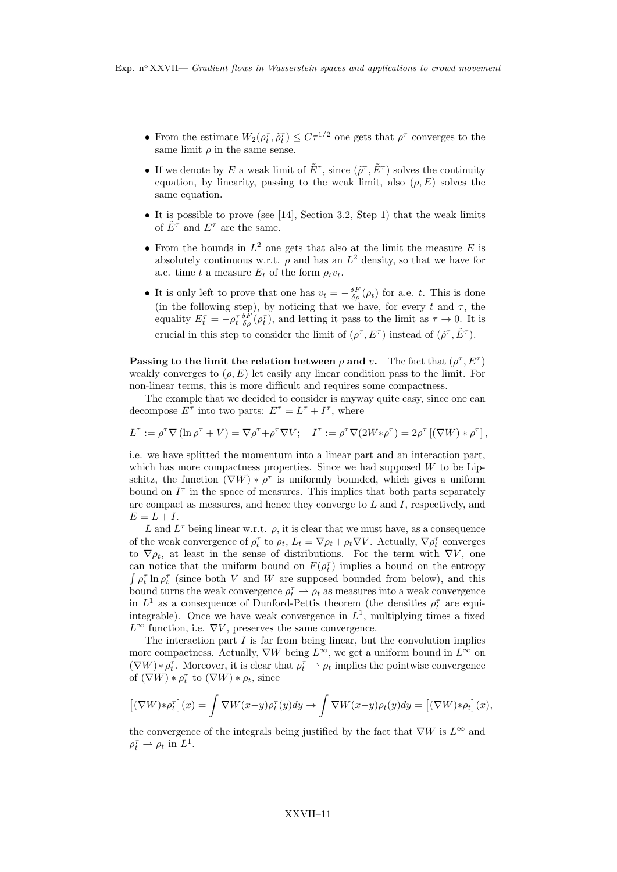- From the estimate  $W_2(\rho_t^{\tau}, \tilde{\rho}_t^{\tau}) \leq C\tau^{1/2}$  one gets that  $\rho^{\tau}$  converges to the same limit  $\rho$  in the same sense.
- If we denote by E a weak limit of  $\tilde{E}^{\tau}$ , since  $(\tilde{\rho}^{\tau}, \tilde{E}^{\tau})$  solves the continuity equation, by linearity, passing to the weak limit, also  $(\rho, E)$  solves the same equation.
- It is possible to prove (see [14], Section 3.2, Step 1) that the weak limits of  $E^{\tau}$  and  $E^{\tau}$  are the same.
- From the bounds in  $L^2$  one gets that also at the limit the measure E is absolutely continuous w.r.t.  $\rho$  and has an  $L^2$  density, so that we have for a.e. time t a measure  $E_t$  of the form  $\rho_t v_t$ .
- It is only left to prove that one has  $v_t = -\frac{\delta F}{\delta \rho}(\rho_t)$  for a.e. t. This is done (in the following step), by noticing that we have, for every t and  $\tau$ , the equality  $E_t^{\tau} = -\rho_t^{\tau} \frac{\delta F}{\delta \rho}(\rho_t^{\tau})$ , and letting it pass to the limit as  $\tau \to 0$ . It is crucial in this step to consider the limit of  $(\rho^{\tau}, E^{\tau})$  instead of  $(\tilde{\rho}^{\tau}, \tilde{E}^{\tau})$ .

Passing to the limit the relation between  $\rho$  and v. The fact that  $(\rho^{\tau}, E^{\tau})$ weakly converges to  $(\rho, E)$  let easily any linear condition pass to the limit. For non-linear terms, this is more difficult and requires some compactness.

The example that we decided to consider is anyway quite easy, since one can decompose  $E^{\tau}$  into two parts:  $E^{\tau} = L^{\tau} + I^{\tau}$ , where

$$
L^{\tau} := \rho^{\tau} \nabla (\ln \rho^{\tau} + V) = \nabla \rho^{\tau} + \rho^{\tau} \nabla V; \quad I^{\tau} := \rho^{\tau} \nabla (2W * \rho^{\tau}) = 2\rho^{\tau} [(\nabla W) * \rho^{\tau}],
$$

i.e. we have splitted the momentum into a linear part and an interaction part, which has more compactness properties. Since we had supposed W to be Lipschitz, the function  $(\nabla W) * \rho^{\tau}$  is uniformly bounded, which gives a uniform bound on  $I^{\tau}$  in the space of measures. This implies that both parts separately are compact as measures, and hence they converge to  $L$  and  $I$ , respectively, and  $E = L + I$ .

L and  $L^{\tau}$  being linear w.r.t.  $\rho$ , it is clear that we must have, as a consequence of the weak convergence of  $\rho_t^{\tau}$  to  $\rho_t$ ,  $L_t = \nabla \rho_t + \rho_t \nabla V$ . Actually,  $\nabla \rho_t^{\tau}$  converges to  $\nabla \rho_t$ , at least in the sense of distributions. For the term with  $\nabla V$ , one can notice that the uniform bound on  $F(\rho_t^{\tau})$  implies a bound on the entropy  $\int \rho_t^{\tau} \ln \rho_t^{\tau}$  (since both V and W are supposed bounded from below), and this bound turns the weak convergence  $\rho_t^{\tau} \rightharpoonup \rho_t$  as measures into a weak convergence in  $L^1$  as a consequence of Dunford-Pettis theorem (the densities  $\rho_t^{\tau}$  are equiintegrable). Once we have weak convergence in  $L^1$ , multiplying times a fixed  $L^{\infty}$  function, i.e.  $\nabla V$ , preserves the same convergence.

The interaction part  $I$  is far from being linear, but the convolution implies more compactness. Actually,  $\nabla W$  being  $L^{\infty}$ , we get a uniform bound in  $L^{\infty}$  on  $(\nabla W) * \rho_t^{\tau}$ . Moreover, it is clear that  $\rho_t^{\tau} \rightharpoonup \rho_t$  implies the pointwise convergence of  $(\nabla W) * \rho_t^{\tau}$  to  $(\nabla W) * \rho_t$ , since

$$
[(\nabla W)*\rho_t^{\tau}](x) = \int \nabla W(x-y)\rho_t^{\tau}(y)dy \to \int \nabla W(x-y)\rho_t(y)dy = [(\nabla W)*\rho_t](x),
$$

the convergence of the integrals being justified by the fact that  $\nabla W$  is  $L^{\infty}$  and  $\rho_t^{\tau} \rightharpoonup \rho_t$  in  $L^1$ .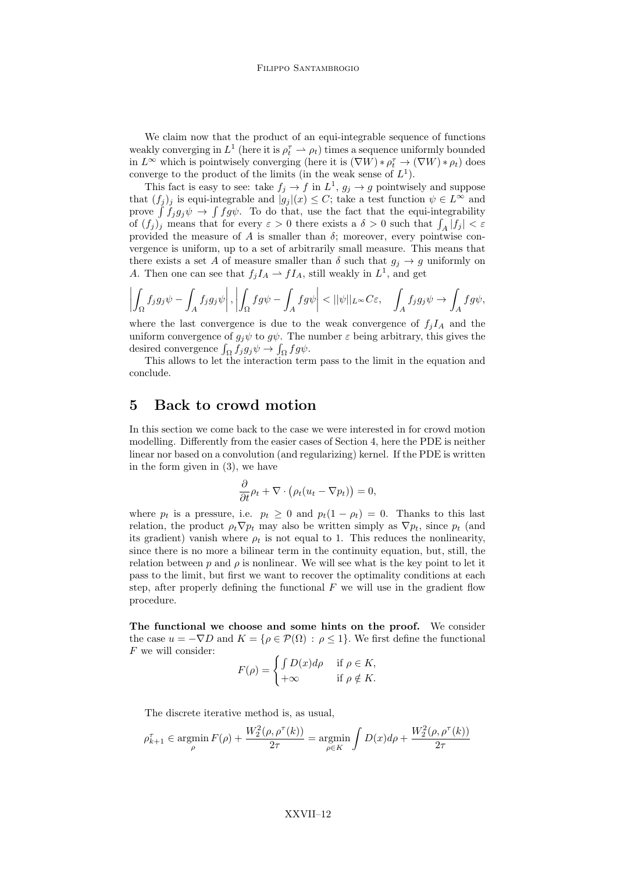We claim now that the product of an equi-integrable sequence of functions weakly converging in  $L^1$  (here it is  $\rho_t^{\tau} \to \rho_t$ ) times a sequence uniformly bounded in  $L^{\infty}$  which is pointwisely converging (here it is  $(\nabla W) * \rho_t^{\tau} \to (\nabla W) * \rho_t$ ) does converge to the product of the limits (in the weak sense of  $L^1$ ).

This fact is easy to see: take  $f_j \to f$  in  $L^1$ ,  $g_j \to g$  pointwisely and suppose that  $(f_i)_j$  is equi-integrable and  $|g_j|(x) \leq C$ ; take a test function  $\psi \in L^{\infty}$  and prove  $\int f_j g_j \psi \to \int f g \psi$ . To do that, use the fact that the equi-integrability of  $(f_j)_j$  means that for every  $\varepsilon > 0$  there exists a  $\delta > 0$  such that  $\int_A |f_j| < \varepsilon$ provided the measure of  $A$  is smaller than  $\delta$ ; moreover, every pointwise convergence is uniform, up to a set of arbitrarily small measure. This means that there exists a set A of measure smaller than  $\delta$  such that  $g_j \to g$  uniformly on A. Then one can see that  $f_j I_A \rightharpoonup f I_A$ , still weakly in  $L^1$ , and get

$$
\left| \int_{\Omega} f_j g_j \psi - \int_A f_j g_j \psi \right|, \left| \int_{\Omega} f g \psi - \int_A f g \psi \right| < ||\psi||_{L^{\infty}} C \varepsilon, \quad \int_A f_j g_j \psi \to \int_A f g \psi,
$$

where the last convergence is due to the weak convergence of  $f_i I_A$  and the uniform convergence of  $g_j \psi$  to  $g \psi$ . The number  $\varepsilon$  being arbitrary, this gives the desired convergence  $\int_{\Omega} f_j g_j \psi \to \int_{\Omega} f g \psi$ .

This allows to let the interaction term pass to the limit in the equation and conclude.

#### 5 Back to crowd motion

In this section we come back to the case we were interested in for crowd motion modelling. Differently from the easier cases of Section 4, here the PDE is neither linear nor based on a convolution (and regularizing) kernel. If the PDE is written in the form given in (3), we have

$$
\frac{\partial}{\partial t}\rho_t + \nabla \cdot \left(\rho_t (u_t - \nabla p_t)\right) = 0,
$$

where  $p_t$  is a pressure, i.e.  $p_t \geq 0$  and  $p_t(1 - \rho_t) = 0$ . Thanks to this last relation, the product  $\rho_t \nabla p_t$  may also be written simply as  $\nabla p_t$ , since  $p_t$  (and its gradient) vanish where  $\rho_t$  is not equal to 1. This reduces the nonlinearity, since there is no more a bilinear term in the continuity equation, but, still, the relation between p and  $\rho$  is nonlinear. We will see what is the key point to let it pass to the limit, but first we want to recover the optimality conditions at each step, after properly defining the functional  $F$  we will use in the gradient flow procedure.

The functional we choose and some hints on the proof. We consider the case  $u = -\nabla D$  and  $K = {\rho \in \mathcal{P}(\Omega) : \rho \leq 1}.$  We first define the functional  $F$  we will consider:

$$
F(\rho) = \begin{cases} \int D(x)d\rho & \text{if } \rho \in K, \\ +\infty & \text{if } \rho \notin K. \end{cases}
$$

The discrete iterative method is, as usual,

$$
\rho_{k+1}^{\tau} \in \operatorname*{argmin}_{\rho} F(\rho) + \frac{W_2^2(\rho, \rho^{\tau}(k))}{2\tau} = \operatorname*{argmin}_{\rho \in K} \int D(x) d\rho + \frac{W_2^2(\rho, \rho^{\tau}(k))}{2\tau}
$$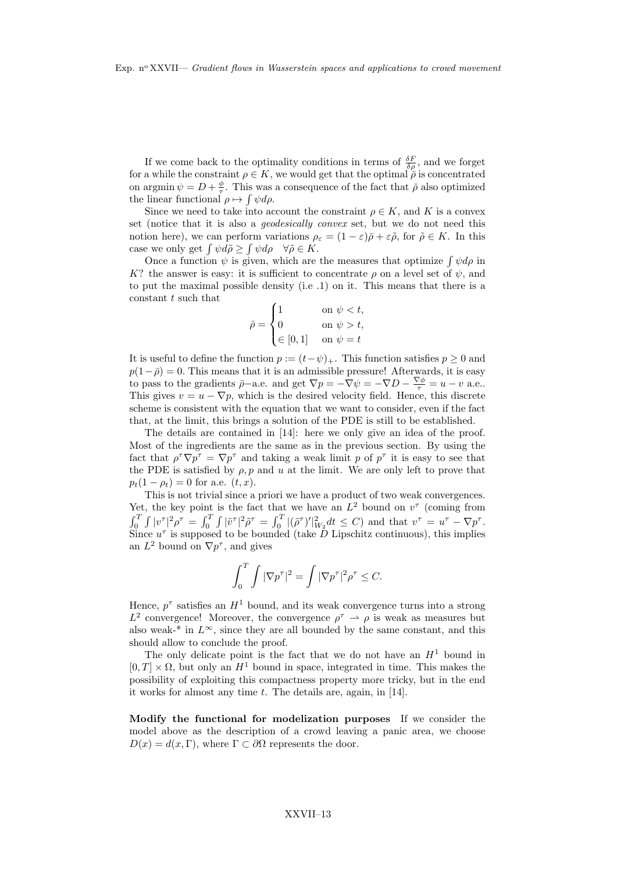If we come back to the optimality conditions in terms of  $\frac{\delta F}{\delta \rho}$ , and we forget for a while the constraint  $\rho \in K$ , we would get that the optimal  $\overline{\rho}$  is concentrated on argmin  $\psi = D + \frac{\phi}{\tau}$ . This was a consequence of the fact that  $\bar{\rho}$  also optimized the linear functional  $\rho \mapsto \int \psi d\rho$ .

Since we need to take into account the constraint  $\rho \in K$ , and K is a convex set (notice that it is also a geodesically convex set, but we do not need this notion here), we can perform variations  $\rho_{\varepsilon} = (1 - \varepsilon)\bar{\rho} + \varepsilon\tilde{\rho}$ , for  $\tilde{\rho} \in K$ . In this case we only get  $\int \psi d\tilde{\rho} \ge \int \psi d\rho \quad \forall \tilde{\rho} \in K$ .

Once a function  $\psi$  is given, which are the measures that optimize  $\int \psi d\rho$  in K? the answer is easy: it is sufficient to concentrate  $\rho$  on a level set of  $\psi$ , and to put the maximal possible density (i.e .1) on it. This means that there is a constant  $t$  such that

$$
\bar{\rho} = \begin{cases} 1 & \text{on } \psi < t, \\ 0 & \text{on } \psi > t, \\ \in [0, 1] & \text{on } \psi = t \end{cases}
$$

It is useful to define the function  $p := (t - \psi)_+$ . This function satisfies  $p \geq 0$  and  $p(1-\overline{\rho})=0$ . This means that it is an admissible pressure! Afterwards, it is easy to pass to the gradients  $\bar{p}-a.e.$  and get  $\nabla p = -\nabla \psi = -\nabla D - \frac{\nabla \phi}{\tau} = u - v$  a.e.. This gives  $v = u - \nabla p$ , which is the desired velocity field. Hence, this discrete scheme is consistent with the equation that we want to consider, even if the fact that, at the limit, this brings a solution of the PDE is still to be established.

The details are contained in [14]: here we only give an idea of the proof. Most of the ingredients are the same as in the previous section. By using the fact that  $\rho^{\tau} \nabla p^{\tau} = \nabla p^{\tau}$  and taking a weak limit p of  $p^{\tau}$  it is easy to see that the PDE is satisfied by  $\rho$ , p and u at the limit. We are only left to prove that  $p_t(1 - \rho_t) = 0$  for a.e.  $(t, x)$ .

This is not trivial since a priori we have a product of two weak convergences. Yet, the key point is the fact that we have an  $L^2$  bound on  $v^{\tau}$  (coming from  $\int_0^T \int |v^{\tau}|^2 \rho^{\tau} = \int_0^T \int |\tilde{v}^{\tau}|^2 \tilde{\rho}^{\tau} = \int_0^T |(\tilde{\rho}^{\tau})'|^2_{W_2} dt \leq C$  and that  $v^{\tau} = u^{\tau} - \nabla p^{\tau}$ . Since  $u^{\tau}$  is supposed to be bounded (take  $\overline{D}$  Lipschitz continuous), this implies an  $L^2$  bound on  $\nabla p^{\tau}$ , and gives

$$
\int_0^T \int |\nabla p^\tau|^2 = \int |\nabla p^\tau|^2 \rho^\tau \leq C.
$$

Hence,  $p^{\tau}$  satisfies an  $H^1$  bound, and its weak convergence turns into a strong  $L^2$  convergence! Moreover, the convergence  $\rho^{\tau} \rightharpoonup \rho$  is weak as measures but also weak-\* in  $L^{\infty}$ , since they are all bounded by the same constant, and this should allow to conclude the proof.

The only delicate point is the fact that we do not have an  $H<sup>1</sup>$  bound in  $[0, T] \times \Omega$ , but only an  $H^1$  bound in space, integrated in time. This makes the possibility of exploiting this compactness property more tricky, but in the end it works for almost any time  $t$ . The details are, again, in [14].

Modify the functional for modelization purposes If we consider the model above as the description of a crowd leaving a panic area, we choose  $D(x) = d(x, \Gamma)$ , where  $\Gamma \subset \partial \Omega$  represents the door.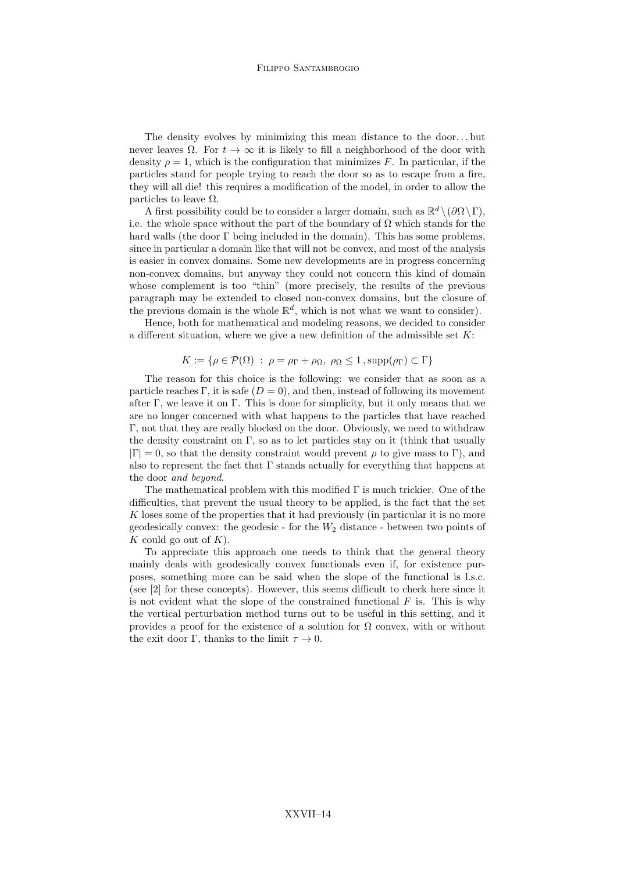The density evolves by minimizing this mean distance to the door...but never leaves  $\Omega$ . For  $t \to \infty$  it is likely to fill a neighborhood of the door with density  $\rho = 1$ , which is the configuration that minimizes F. In particular, if the particles stand for people trying to reach the door so as to escape from a fire, they will all die! this requires a modification of the model, in order to allow the particles to leave  $\Omega$ .

A first possibility could be to consider a larger domain, such as  $\mathbb{R}^d \setminus (\partial \Omega \setminus \Gamma)$ , i.e. the whole space without the part of the boundary of  $\Omega$  which stands for the hard walls (the door Γ being included in the domain). This has some problems, since in particular a domain like that will not be convex, and most of the analysis is easier in convex domains. Some new developments are in progress concerning non-convex domains, but anyway they could not concern this kind of domain whose complement is too "thin" (more precisely, the results of the previous paragraph may be extended to closed non-convex domains, but the closure of the previous domain is the whole  $\mathbb{R}^d$ , which is not what we want to consider).

Hence, both for mathematical and modeling reasons, we decided to consider a different situation, where we give a new definition of the admissible set  $K$ :

$$
K := \{ \rho \in \mathcal{P}(\Omega) \; : \; \rho = \rho_{\Gamma} + \rho_{\Omega}, \; \rho_{\Omega} \le 1, \mathrm{supp}(\rho_{\Gamma}) \subset \Gamma \}
$$

The reason for this choice is the following: we consider that as soon as a particle reaches Γ, it is safe  $(D = 0)$ , and then, instead of following its movement after  $\Gamma$ , we leave it on  $\Gamma$ . This is done for simplicity, but it only means that we are no longer concerned with what happens to the particles that have reached Γ, not that they are really blocked on the door. Obviously, we need to withdraw the density constraint on Γ, so as to let particles stay on it (think that usually  $|\Gamma| = 0$ , so that the density constraint would prevent  $\rho$  to give mass to  $\Gamma$ ), and also to represent the fact that  $\Gamma$  stands actually for everything that happens at the door and beyond.

The mathematical problem with this modified  $\Gamma$  is much trickier. One of the difficulties, that prevent the usual theory to be applied, is the fact that the set K loses some of the properties that it had previously (in particular it is no more geodesically convex: the geodesic - for the  $W_2$  distance - between two points of K could go out of  $K$ ).

To appreciate this approach one needs to think that the general theory mainly deals with geodesically convex functionals even if, for existence purposes, something more can be said when the slope of the functional is l.s.c. (see [2] for these concepts). However, this seems difficult to check here since it is not evident what the slope of the constrained functional  $F$  is. This is why the vertical perturbation method turns out to be useful in this setting, and it provides a proof for the existence of a solution for  $\Omega$  convex, with or without the exit door Γ, thanks to the limit  $\tau \to 0$ .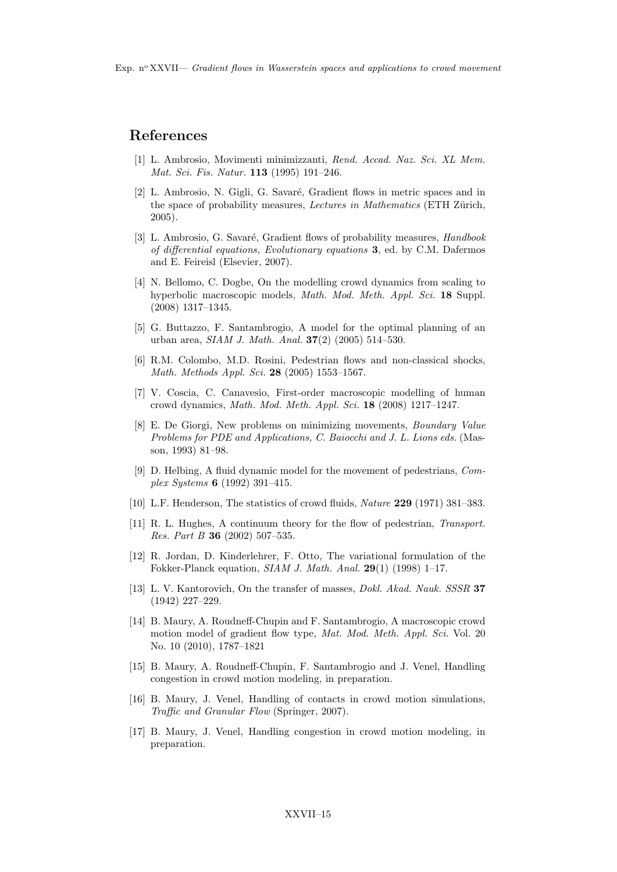#### References

- [1] L. Ambrosio, Movimenti minimizzanti, Rend. Accad. Naz. Sci. XL Mem. Mat. Sci. Fis. Natur. 113 (1995) 191–246.
- [2] L. Ambrosio, N. Gigli, G. Savaré, Gradient flows in metric spaces and in the space of probability measures, *Lectures in Mathematics* (ETH Zürich, 2005).
- [3] L. Ambrosio, G. Savaré, Gradient flows of probability measures, Handbook of differential equations, Evolutionary equations 3, ed. by C.M. Dafermos and E. Feireisl (Elsevier, 2007).
- [4] N. Bellomo, C. Dogbe, On the modelling crowd dynamics from scaling to hyperbolic macroscopic models, Math. Mod. Meth. Appl. Sci. 18 Suppl. (2008) 1317–1345.
- [5] G. Buttazzo, F. Santambrogio, A model for the optimal planning of an urban area, SIAM J. Math. Anal. 37(2) (2005) 514–530.
- [6] R.M. Colombo, M.D. Rosini, Pedestrian flows and non-classical shocks, Math. Methods Appl. Sci. 28 (2005) 1553–1567.
- [7] V. Coscia, C. Canavesio, First-order macroscopic modelling of human crowd dynamics, Math. Mod. Meth. Appl. Sci. 18 (2008) 1217–1247.
- [8] E. De Giorgi, New problems on minimizing movements, Boundary Value Problems for PDE and Applications, C. Baiocchi and J. L. Lions eds. (Masson, 1993) 81–98.
- [9] D. Helbing, A fluid dynamic model for the movement of pedestrians, Complex Systems 6 (1992) 391–415.
- [10] L.F. Henderson, The statistics of crowd fluids, *Nature* 229 (1971) 381–383.
- [11] R. L. Hughes, A continuum theory for the flow of pedestrian, Transport. Res. Part B 36 (2002) 507–535.
- [12] R. Jordan, D. Kinderlehrer, F. Otto, The variational formulation of the Fokker-Planck equation, SIAM J. Math. Anal. 29(1) (1998) 1–17.
- [13] L. V. Kantorovich, On the transfer of masses, *Dokl. Akad. Nauk. SSSR* 37 (1942) 227–229.
- [14] B. Maury, A. Roudneff-Chupin and F. Santambrogio, A macroscopic crowd motion model of gradient flow type, Mat. Mod. Meth. Appl. Sci. Vol. 20 No. 10 (2010), 1787–1821
- [15] B. Maury, A. Roudneff-Chupin, F. Santambrogio and J. Venel, Handling congestion in crowd motion modeling, in preparation.
- [16] B. Maury, J. Venel, Handling of contacts in crowd motion simulations, Traffic and Granular Flow (Springer, 2007).
- [17] B. Maury, J. Venel, Handling congestion in crowd motion modeling, in preparation.